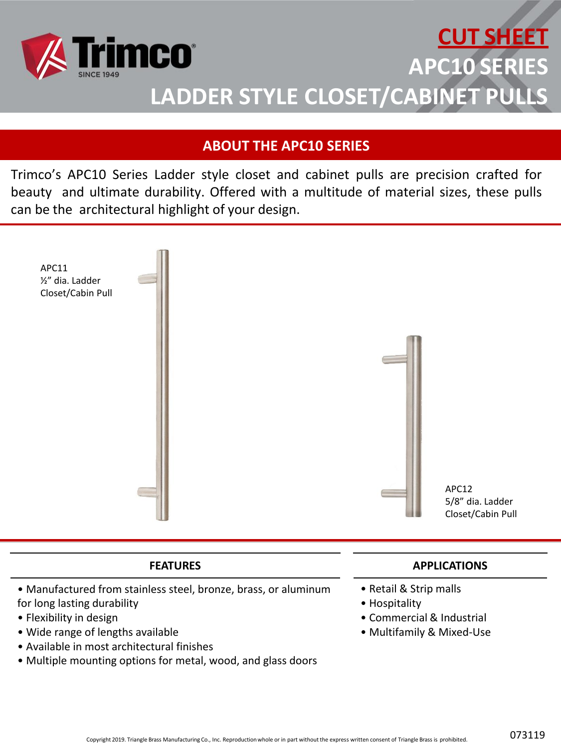

# **CUT SHEET APC10 SERIES LADDER STYLE CLOSET/CABINET PUL**

# **ABOUT THE APC10 SERIES**

Trimco's APC10 Series Ladder style closet and cabinet pulls are precision crafted for beauty and ultimate durability. Offered with a multitude of material sizes, these pulls can be the architectural highlight of your design.



#### **FEATURES**

- Manufactured from stainless steel, bronze, brass, or aluminum for long lasting durability
- Flexibility in design
- Wide range of lengths available
- Available in most architectural finishes
- Multiple mounting options for metal, wood, and glass doors

## **APPLICATIONS**

- Retail & Strip malls
- Hospitality
- Commercial & Industrial
- Multifamily & Mixed-Use